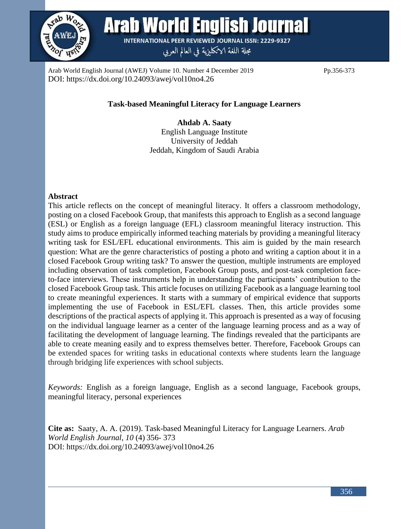

**Arab World English Journal** 

**INTERNATIONAL PEER REVIEWED JOURNAL ISSN: 2229-9327** 

مجلة اللغة الانكليزية في العالم العربي

Arab World English Journal (AWEJ) Volume 10. Number 4 December 2019 Pp.356-373 DOI: https://dx.doi.org/10.24093/awej/vol10no4.26

## **Task-based Meaningful Literacy for Language Learners**

**Ahdab A. Saaty** English Language Institute University of Jeddah Jeddah, Kingdom of Saudi Arabia

## **Abstract**

This article reflects on the concept of meaningful literacy. It offers a classroom methodology, posting on a closed Facebook Group, that manifests this approach to English as a second language (ESL) or English as a foreign language (EFL) classroom meaningful literacy instruction. This study aims to produce empirically informed teaching materials by providing a meaningful literacy writing task for ESL/EFL educational environments. This aim is guided by the main research question: What are the genre characteristics of posting a photo and writing a caption about it in a closed Facebook Group writing task? To answer the question, multiple instruments are employed including observation of task completion, Facebook Group posts, and post-task completion faceto-face interviews. These instruments help in understanding the participants' contribution to the closed Facebook Group task. This article focuses on utilizing Facebook as a language learning tool to create meaningful experiences. It starts with a summary of empirical evidence that supports implementing the use of Facebook in ESL/EFL classes. Then, this article provides some descriptions of the practical aspects of applying it. This approach is presented as a way of focusing on the individual language learner as a center of the language learning process and as a way of facilitating the development of language learning. The findings revealed that the participants are able to create meaning easily and to express themselves better. Therefore, Facebook Groups can be extended spaces for writing tasks in educational contexts where students learn the language through bridging life experiences with school subjects.

*Keywords:* English as a foreign language, English as a second language, Facebook groups, meaningful literacy, personal experiences

**Cite as:** Saaty, A. A. (2019). Task-based Meaningful Literacy for Language Learners. *Arab World English Journal*, *10* (4) 356- 373 DOI: https://dx.doi.org/10.24093/awej/vol10no4.26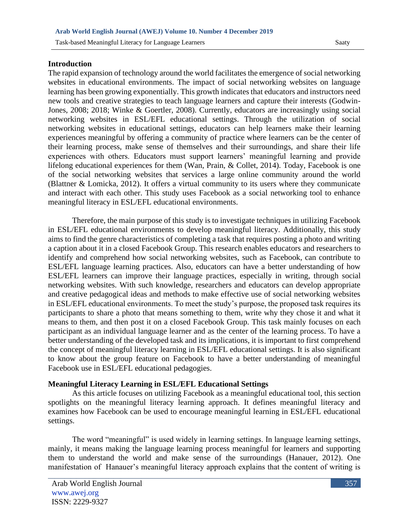#### **Introduction**

The rapid expansion of technology around the world facilitates the emergence of social networking websites in educational environments. The impact of social networking websites on language learning has been growing exponentially. This growth indicates that educators and instructors need new tools and creative strategies to teach language learners and capture their interests (Godwin-Jones, 2008; 2018; Winke & Goertler, 2008). Currently, educators are increasingly using social networking websites in ESL/EFL educational settings. Through the utilization of social networking websites in educational settings, educators can help learners make their learning experiences meaningful by offering a community of practice where learners can be the center of their learning process, make sense of themselves and their surroundings, and share their life experiences with others. Educators must support learners' meaningful learning and provide lifelong educational experiences for them (Wan, Prain, & Collet, 2014). Today, Facebook is one of the social networking websites that services a large online community around the world (Blattner & Lomicka, 2012). It offers a virtual community to its users where they communicate and interact with each other. This study uses Facebook as a social networking tool to enhance meaningful literacy in ESL/EFL educational environments.

Therefore, the main purpose of this study is to investigate techniques in utilizing Facebook in ESL/EFL educational environments to develop meaningful literacy. Additionally, this study aims to find the genre characteristics of completing a task that requires posting a photo and writing a caption about it in a closed Facebook Group. This research enables educators and researchers to identify and comprehend how social networking websites, such as Facebook, can contribute to ESL/EFL language learning practices. Also, educators can have a better understanding of how ESL/EFL learners can improve their language practices, especially in writing, through social networking websites. With such knowledge, researchers and educators can develop appropriate and creative pedagogical ideas and methods to make effective use of social networking websites in ESL/EFL educational environments. To meet the study's purpose, the proposed task requires its participants to share a photo that means something to them, write why they chose it and what it means to them, and then post it on a closed Facebook Group. This task mainly focuses on each participant as an individual language learner and as the center of the learning process. To have a better understanding of the developed task and its implications, it is important to first comprehend the concept of meaningful literacy learning in ESL/EFL educational settings. It is also significant to know about the group feature on Facebook to have a better understanding of meaningful Facebook use in ESL/EFL educational pedagogies.

## **Meaningful Literacy Learning in ESL/EFL Educational Settings**

As this article focuses on utilizing Facebook as a meaningful educational tool, this section spotlights on the meaningful literacy learning approach. It defines meaningful literacy and examines how Facebook can be used to encourage meaningful learning in ESL/EFL educational settings.

The word "meaningful" is used widely in learning settings. In language learning settings, mainly, it means making the language learning process meaningful for learners and supporting them to understand the world and make sense of the surroundings (Hanauer, 2012). One manifestation of Hanauer's meaningful literacy approach explains that the content of writing is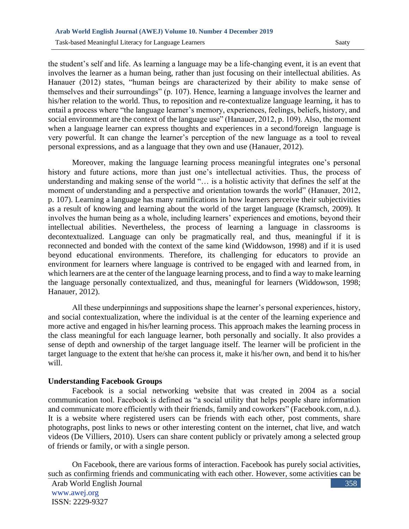the student's self and life. As learning a language may be a life-changing event, it is an event that involves the learner as a human being, rather than just focusing on their intellectual abilities. As Hanauer (2012) states, "human beings are characterized by their ability to make sense of themselves and their surroundings" (p. 107). Hence, learning a language involves the learner and his/her relation to the world. Thus, to reposition and re-contextualize language learning, it has to entail a process where "the language learner's memory, experiences, feelings, beliefs, history, and social environment are the context of the language use" (Hanauer, 2012, p. 109). Also, the moment when a language learner can express thoughts and experiences in a second/foreign language is very powerful. It can change the learner's perception of the new language as a tool to reveal personal expressions, and as a language that they own and use (Hanauer, 2012).

Moreover, making the language learning process meaningful integrates one's personal history and future actions, more than just one's intellectual activities. Thus, the process of understanding and making sense of the world "… is a holistic activity that defines the self at the moment of understanding and a perspective and orientation towards the world" (Hanauer, 2012, p. 107). Learning a language has many ramifications in how learners perceive their subjectivities as a result of knowing and learning about the world of the target language (Kramsch, 2009). It involves the human being as a whole, including learners' experiences and emotions, beyond their intellectual abilities. Nevertheless, the process of learning a language in classrooms is decontextualized. Language can only be pragmatically real, and thus, meaningful if it is reconnected and bonded with the context of the same kind (Widdowson, 1998) and if it is used beyond educational environments. Therefore, its challenging for educators to provide an environment for learners where language is contrived to be engaged with and learned from, in which learners are at the center of the language learning process, and to find a way to make learning the language personally contextualized, and thus, meaningful for learners (Widdowson, 1998; Hanauer, 2012).

All these underpinnings and suppositions shape the learner's personal experiences, history, and social contextualization, where the individual is at the center of the learning experience and more active and engaged in his/her learning process. This approach makes the learning process in the class meaningful for each language learner, both personally and socially. It also provides a sense of depth and ownership of the target language itself. The learner will be proficient in the target language to the extent that he/she can process it, make it his/her own, and bend it to his/her will.

#### **Understanding Facebook Groups**

Facebook is a social networking website that was created in 2004 as a social communication tool. Facebook is defined as "a social utility that helps people share information and communicate more efficiently with their friends, family and coworkers" (Facebook.com, n.d.). It is a website where registered users can be friends with each other, post comments, share photographs, post links to news or other interesting content on the internet, chat live, and watch videos (De Villiers, 2010). Users can share content publicly or privately among a selected group of friends or family, or with a single person.

On Facebook, there are various forms of interaction. Facebook has purely social activities, such as confirming friends and communicating with each other. However, some activities can be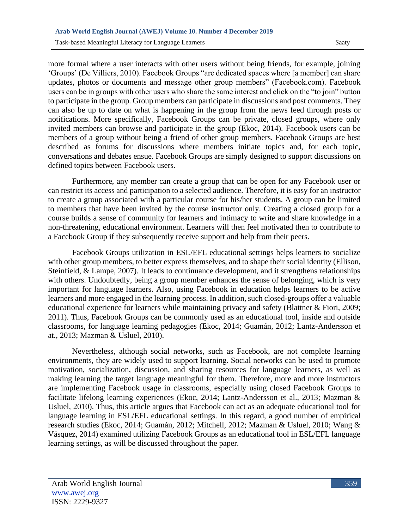more formal where a user interacts with other users without being friends, for example, joining 'Groups' (De Villiers, 2010). Facebook Groups "are dedicated spaces where [a member] can share updates, photos or documents and message other group members" (Facebook.com). Facebook users can be in groups with other users who share the same interest and click on the "to join" button to participate in the group. Group members can participate in discussions and post comments. They can also be up to date on what is happening in the group from the news feed through posts or notifications. More specifically, Facebook Groups can be private, closed groups, where only invited members can browse and participate in the group (Ekoc, 2014). Facebook users can be members of a group without being a friend of other group members. Facebook Groups are best described as forums for discussions where members initiate topics and, for each topic, conversations and debates ensue. Facebook Groups are simply designed to support discussions on defined topics between Facebook users.

Furthermore, any member can create a group that can be open for any Facebook user or can restrict its access and participation to a selected audience. Therefore, it is easy for an instructor to create a group associated with a particular course for his/her students. A group can be limited to members that have been invited by the course instructor only. Creating a closed group for a course builds a sense of community for learners and intimacy to write and share knowledge in a non-threatening, educational environment. Learners will then feel motivated then to contribute to a Facebook Group if they subsequently receive support and help from their peers.

Facebook Groups utilization in ESL/EFL educational settings helps learners to socialize with other group members, to better express themselves, and to shape their social identity (Ellison, Steinfield, & Lampe, 2007). It leads to continuance development, and it strengthens relationships with others. Undoubtedly, being a group member enhances the sense of belonging, which is very important for language learners. Also, using Facebook in education helps learners to be active learners and more engaged in the learning process. In addition, such closed-groups offer a valuable educational experience for learners while maintaining privacy and safety (Blattner & Fiori, 2009; 2011). Thus, Facebook Groups can be commonly used as an educational tool, inside and outside classrooms, for language learning pedagogies (Ekoc, 2014; Guamán, 2012; Lantz-Andersson et at., 2013; Mazman & Usluel, 2010).

Nevertheless, although social networks, such as Facebook, are not complete learning environments, they are widely used to support learning. Social networks can be used to promote motivation, socialization, discussion, and sharing resources for language learners, as well as making learning the target language meaningful for them. Therefore, more and more instructors are implementing Facebook usage in classrooms, especially using closed Facebook Groups to facilitate lifelong learning experiences (Ekoc, 2014; Lantz-Andersson et al., 2013; Mazman & Usluel, 2010). Thus, this article argues that Facebook can act as an adequate educational tool for language learning in ESL/EFL educational settings. In this regard, a good number of empirical research studies (Ekoc, 2014; Guamán, 2012; Mitchell, 2012; Mazman & Usluel, 2010; Wang & Vásquez, 2014) examined utilizing Facebook Groups as an educational tool in ESL/EFL language learning settings, as will be discussed throughout the paper.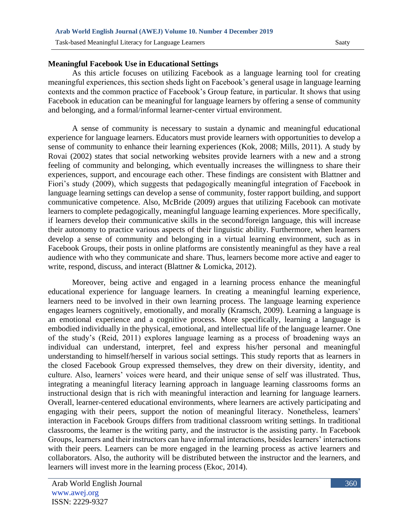## **Meaningful Facebook Use in Educational Settings**

As this article focuses on utilizing Facebook as a language learning tool for creating meaningful experiences, this section sheds light on Facebook's general usage in language learning contexts and the common practice of Facebook's Group feature, in particular. It shows that using Facebook in education can be meaningful for language learners by offering a sense of community and belonging, and a formal/informal learner-center virtual environment.

A sense of community is necessary to sustain a dynamic and meaningful educational experience for language learners. Educators must provide learners with opportunities to develop a sense of community to enhance their learning experiences (Kok, 2008; Mills, 2011). A study by Rovai (2002) states that social networking websites provide learners with a new and a strong feeling of community and belonging, which eventually increases the willingness to share their experiences, support, and encourage each other. These findings are consistent with Blattner and Fiori's study (2009), which suggests that pedagogically meaningful integration of Facebook in language learning settings can develop a sense of community, foster rapport building, and support communicative competence. Also, McBride (2009) argues that utilizing Facebook can motivate learners to complete pedagogically, meaningful language learning experiences. More specifically, if learners develop their communicative skills in the second/foreign language, this will increase their autonomy to practice various aspects of their linguistic ability. Furthermore, when learners develop a sense of community and belonging in a virtual learning environment, such as in Facebook Groups, their posts in online platforms are consistently meaningful as they have a real audience with who they communicate and share. Thus, learners become more active and eager to write, respond, discuss, and interact (Blattner & Lomicka, 2012).

Moreover, being active and engaged in a learning process enhance the meaningful educational experience for language learners. In creating a meaningful learning experience, learners need to be involved in their own learning process. The language learning experience engages learners cognitively, emotionally, and morally (Kramsch, 2009). Learning a language is an emotional experience and a cognitive process. More specifically, learning a language is embodied individually in the physical, emotional, and intellectual life of the language learner. One of the study's (Reid, 2011) explores language learning as a process of broadening ways an individual can understand, interpret, feel and express his/her personal and meaningful understanding to himself/herself in various social settings. This study reports that as learners in the closed Facebook Group expressed themselves, they drew on their diversity, identity, and culture. Also, learners' voices were heard, and their unique sense of self was illustrated. Thus, integrating a meaningful literacy learning approach in language learning classrooms forms an instructional design that is rich with meaningful interaction and learning for language learners. Overall, learner-centered educational environments, where learners are actively participating and engaging with their peers, support the notion of meaningful literacy. Nonetheless, learners' interaction in Facebook Groups differs from traditional classroom writing settings. In traditional classrooms, the learner is the writing party, and the instructor is the assisting party. In Facebook Groups, learners and their instructors can have informal interactions, besides learners' interactions with their peers. Learners can be more engaged in the learning process as active learners and collaborators. Also, the authority will be distributed between the instructor and the learners, and learners will invest more in the learning process (Ekoc, 2014).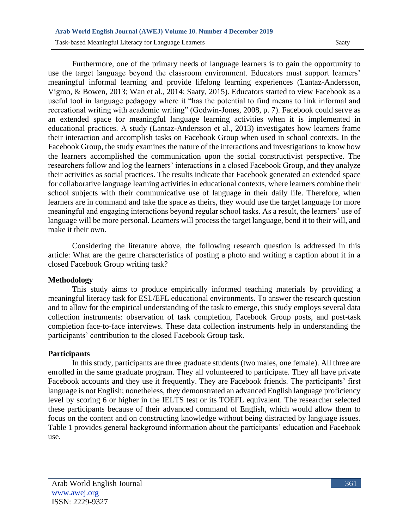Furthermore, one of the primary needs of language learners is to gain the opportunity to use the target language beyond the classroom environment. Educators must support learners' meaningful informal learning and provide lifelong learning experiences (Lantaz-Andersson, Vigmo, & Bowen, 2013; Wan et al., 2014; Saaty, 2015). Educators started to view Facebook as a useful tool in language pedagogy where it "has the potential to find means to link informal and recreational writing with academic writing" (Godwin-Jones, 2008, p. 7). Facebook could serve as an extended space for meaningful language learning activities when it is implemented in educational practices. A study (Lantaz-Andersson et al., 2013) investigates how learners frame their interaction and accomplish tasks on Facebook Group when used in school contexts. In the Facebook Group, the study examines the nature of the interactions and investigations to know how the learners accomplished the communication upon the social constructivist perspective. The researchers follow and log the learners' interactions in a closed Facebook Group, and they analyze their activities as social practices. The results indicate that Facebook generated an extended space for collaborative language learning activities in educational contexts, where learners combine their school subjects with their communicative use of language in their daily life. Therefore, when learners are in command and take the space as theirs, they would use the target language for more meaningful and engaging interactions beyond regular school tasks. As a result, the learners' use of language will be more personal. Learners will process the target language, bend it to their will, and make it their own.

Considering the literature above, the following research question is addressed in this article: What are the genre characteristics of posting a photo and writing a caption about it in a closed Facebook Group writing task?

#### **Methodology**

This study aims to produce empirically informed teaching materials by providing a meaningful literacy task for ESL/EFL educational environments. To answer the research question and to allow for the empirical understanding of the task to emerge, this study employs several data collection instruments: observation of task completion, Facebook Group posts, and post-task completion face-to-face interviews. These data collection instruments help in understanding the participants' contribution to the closed Facebook Group task.

#### **Participants**

In this study, participants are three graduate students (two males, one female). All three are enrolled in the same graduate program. They all volunteered to participate. They all have private Facebook accounts and they use it frequently. They are Facebook friends. The participants' first language is not English; nonetheless, they demonstrated an advanced English language proficiency level by scoring 6 or higher in the IELTS test or its TOEFL equivalent. The researcher selected these participants because of their advanced command of English, which would allow them to focus on the content and on constructing knowledge without being distracted by language issues. Table 1 provides general background information about the participants' education and Facebook use.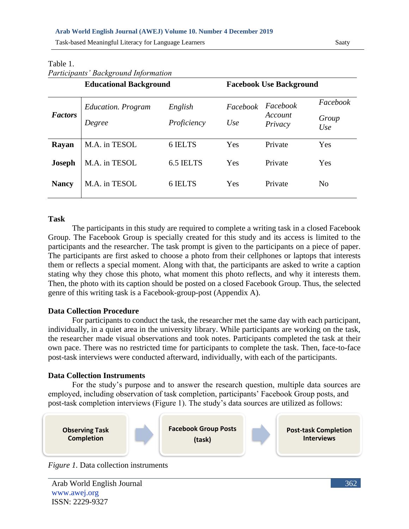#### **Arab World English Journal (AWEJ) Volume 10. Number 4 December 2019**

Task-based Meaningful Literacy for Language Learners Saaty

| <b>Education.</b> Program | English     | Facebook                      | Facebook | Facebook                                  |
|---------------------------|-------------|-------------------------------|----------|-------------------------------------------|
| Degree                    | Proficiency | Use                           | Privacy  | Group<br>Use                              |
| M.A. in TESOL             | 6 IELTS     | Yes                           | Private  | Yes                                       |
| M.A. in TESOL             | 6.5 IELTS   | Yes                           | Private  | Yes                                       |
| M.A. in TESOL             | 6 IELTS     | Yes                           | Private  | N <sub>0</sub>                            |
|                           |             | <b>Educational Background</b> |          | <b>Facebook Use Background</b><br>Account |

#### Table 1. *Participants' Background Information*

| ۰ |  |
|---|--|

The participants in this study are required to complete a writing task in a closed Facebook Group. The Facebook Group is specially created for this study and its access is limited to the participants and the researcher. The task prompt is given to the participants on a piece of paper. The participants are first asked to choose a photo from their cellphones or laptops that interests them or reflects a special moment. Along with that, the participants are asked to write a caption stating why they chose this photo, what moment this photo reflects, and why it interests them. Then, the photo with its caption should be posted on a closed Facebook Group. Thus, the selected genre of this writing task is a Facebook-group-post (Appendix A).

#### **Data Collection Procedure**

For participants to conduct the task, the researcher met the same day with each participant, individually, in a quiet area in the university library. While participants are working on the task, the researcher made visual observations and took notes. Participants completed the task at their own pace. There was no restricted time for participants to complete the task. Then, face-to-face post-task interviews were conducted afterward, individually, with each of the participants.

#### **Data Collection Instruments**

For the study's purpose and to answer the research question, multiple data sources are employed, including observation of task completion, participants' Facebook Group posts, and post-task completion interviews (Figure 1). The study's data sources are utilized as follows:



*Figure 1.* Data collection instruments

Arab World English Journal www.awej.org ISSN: 2229-9327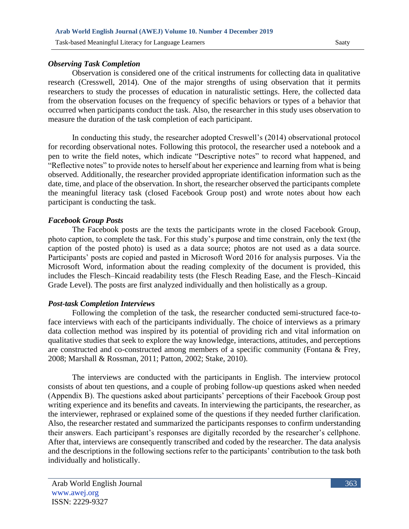#### *Observing Task Completion*

Observation is considered one of the critical instruments for collecting data in qualitative research (Cresswell, 2014). One of the major strengths of using observation that it permits researchers to study the processes of education in naturalistic settings. Here, the collected data from the observation focuses on the frequency of specific behaviors or types of a behavior that occurred when participants conduct the task. Also, the researcher in this study uses observation to measure the duration of the task completion of each participant.

In conducting this study, the researcher adopted Creswell's (2014) observational protocol for recording observational notes. Following this protocol, the researcher used a notebook and a pen to write the field notes, which indicate "Descriptive notes" to record what happened, and "Reflective notes" to provide notes to herself about her experience and learning from what is being observed. Additionally, the researcher provided appropriate identification information such as the date, time, and place of the observation. In short, the researcher observed the participants complete the meaningful literacy task (closed Facebook Group post) and wrote notes about how each participant is conducting the task.

#### *Facebook Group Posts*

The Facebook posts are the texts the participants wrote in the closed Facebook Group, photo caption, to complete the task. For this study's purpose and time constrain, only the text (the caption of the posted photo) is used as a data source; photos are not used as a data source. Participants' posts are copied and pasted in Microsoft Word 2016 for analysis purposes. Via the Microsoft Word, information about the reading complexity of the document is provided, this includes the Flesch–Kincaid readability tests (the Flesch Reading Ease, and the Flesch–Kincaid Grade Level). The posts are first analyzed individually and then holistically as a group.

## *Post-task Completion Interviews*

Following the completion of the task, the researcher conducted semi-structured face-toface interviews with each of the participants individually. The choice of interviews as a primary data collection method was inspired by its potential of providing rich and vital information on qualitative studies that seek to explore the way knowledge, interactions, attitudes, and perceptions are constructed and co-constructed among members of a specific community (Fontana & Frey, 2008; Marshall & Rossman, 2011; Patton, 2002; Stake, 2010).

The interviews are conducted with the participants in English. The interview protocol consists of about ten questions, and a couple of probing follow-up questions asked when needed (Appendix B). The questions asked about participants' perceptions of their Facebook Group post writing experience and its benefits and caveats. In interviewing the participants, the researcher, as the interviewer, rephrased or explained some of the questions if they needed further clarification. Also, the researcher restated and summarized the participants responses to confirm understanding their answers. Each participant's responses are digitally recorded by the researcher's cellphone. After that, interviews are consequently transcribed and coded by the researcher. The data analysis and the descriptions in the following sections refer to the participants' contribution to the task both individually and holistically.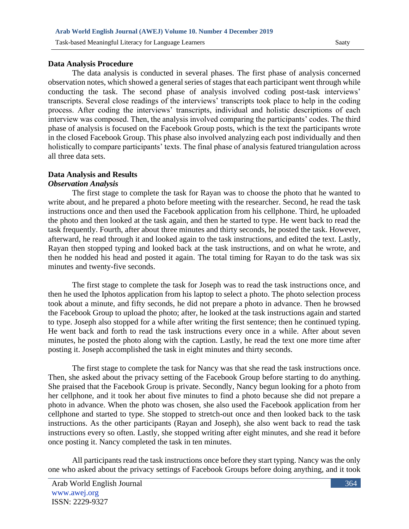### **Data Analysis Procedure**

The data analysis is conducted in several phases. The first phase of analysis concerned observation notes, which showed a general series of stages that each participant went through while conducting the task. The second phase of analysis involved coding post-task interviews' transcripts. Several close readings of the interviews' transcripts took place to help in the coding process. After coding the interviews' transcripts, individual and holistic descriptions of each interview was composed. Then, the analysis involved comparing the participants' codes. The third phase of analysis is focused on the Facebook Group posts, which is the text the participants wrote in the closed Facebook Group. This phase also involved analyzing each post individually and then holistically to compare participants' texts. The final phase of analysis featured triangulation across all three data sets.

# **Data Analysis and Results**

## *Observation Analysis*

The first stage to complete the task for Rayan was to choose the photo that he wanted to write about, and he prepared a photo before meeting with the researcher. Second, he read the task instructions once and then used the Facebook application from his cellphone. Third, he uploaded the photo and then looked at the task again, and then he started to type. He went back to read the task frequently. Fourth, after about three minutes and thirty seconds, he posted the task. However, afterward, he read through it and looked again to the task instructions, and edited the text. Lastly, Rayan then stopped typing and looked back at the task instructions, and on what he wrote, and then he nodded his head and posted it again. The total timing for Rayan to do the task was six minutes and twenty-five seconds.

The first stage to complete the task for Joseph was to read the task instructions once, and then he used the Iphotos application from his laptop to select a photo. The photo selection process took about a minute, and fifty seconds, he did not prepare a photo in advance. Then he browsed the Facebook Group to upload the photo; after, he looked at the task instructions again and started to type. Joseph also stopped for a while after writing the first sentence; then he continued typing. He went back and forth to read the task instructions every once in a while. After about seven minutes, he posted the photo along with the caption. Lastly, he read the text one more time after posting it. Joseph accomplished the task in eight minutes and thirty seconds.

The first stage to complete the task for Nancy was that she read the task instructions once. Then, she asked about the privacy setting of the Facebook Group before starting to do anything. She praised that the Facebook Group is private. Secondly, Nancy begun looking for a photo from her cellphone, and it took her about five minutes to find a photo because she did not prepare a photo in advance. When the photo was chosen, she also used the Facebook application from her cellphone and started to type. She stopped to stretch-out once and then looked back to the task instructions. As the other participants (Rayan and Joseph), she also went back to read the task instructions every so often. Lastly, she stopped writing after eight minutes, and she read it before once posting it. Nancy completed the task in ten minutes.

All participants read the task instructions once before they start typing. Nancy was the only one who asked about the privacy settings of Facebook Groups before doing anything, and it took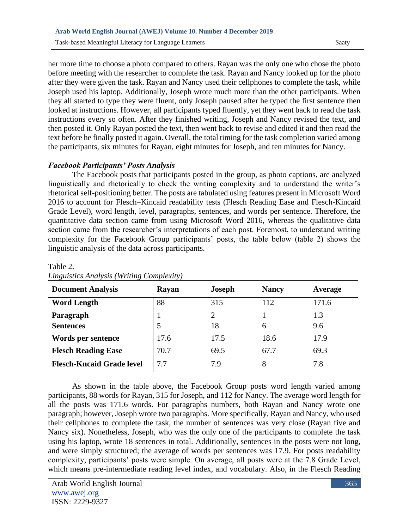her more time to choose a photo compared to others. Rayan was the only one who chose the photo before meeting with the researcher to complete the task. Rayan and Nancy looked up for the photo after they were given the task. Rayan and Nancy used their cellphones to complete the task, while Joseph used his laptop. Additionally, Joseph wrote much more than the other participants. When they all started to type they were fluent, only Joseph paused after he typed the first sentence then looked at instructions. However, all participants typed fluently, yet they went back to read the task instructions every so often. After they finished writing, Joseph and Nancy revised the text, and then posted it. Only Rayan posted the text, then went back to revise and edited it and then read the text before he finally posted it again. Overall, the total timing for the task completion varied among the participants, six minutes for Rayan, eight minutes for Joseph, and ten minutes for Nancy.

#### *Facebook Participants' Posts Analysis*

The Facebook posts that participants posted in the group, as photo captions, are analyzed linguistically and rhetorically to check the writing complexity and to understand the writer's rhetorical self-positioning better. The posts are tabulated using features present in Microsoft Word 2016 to account for Flesch–Kincaid readability tests (Flesch Reading Ease and Flesch-Kincaid Grade Level), word length, level, paragraphs, sentences, and words per sentence. Therefore, the quantitative data section came from using Microsoft Word 2016, whereas the qualitative data section came from the researcher's interpretations of each post. Foremost, to understand writing complexity for the Facebook Group participants' posts, the table below (table 2) shows the linguistic analysis of the data across participants.

| <b>Document Analysis</b>         | Rayan | Joseph | <b>Nancy</b> | Average |
|----------------------------------|-------|--------|--------------|---------|
| <b>Word Length</b>               | 88    | 315    | 112          | 171.6   |
| Paragraph                        |       | 2      |              | 1.3     |
| <b>Sentences</b>                 | 5     | 18     | 6            | 9.6     |
| Words per sentence               | 17.6  | 17.5   | 18.6         | 17.9    |
| <b>Flesch Reading Ease</b>       | 70.7  | 69.5   | 67.7         | 69.3    |
| <b>Flesch-Kncaid Grade level</b> | 7.7   | 7.9    | 8            | 7.8     |

Table 2. *Linguistics Analysis (Writing Complexity)*

As shown in the table above, the Facebook Group posts word length varied among participants, 88 words for Rayan, 315 for Joseph, and 112 for Nancy. The average word length for all the posts was 171.6 words. For paragraphs numbers, both Rayan and Nancy wrote one paragraph; however, Joseph wrote two paragraphs. More specifically, Rayan and Nancy, who used their cellphones to complete the task, the number of sentences was very close (Rayan five and Nancy six). Nonetheless, Joseph, who was the only one of the participants to complete the task using his laptop, wrote 18 sentences in total. Additionally, sentences in the posts were not long, and were simply structured; the average of words per sentences was 17.9. For posts readability complexity, participants' posts were simple. On average, all posts were at the 7.8 Grade Level, which means pre-intermediate reading level index, and vocabulary. Also, in the Flesch Reading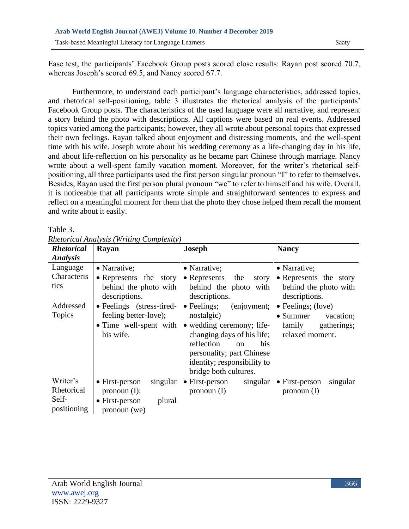Ease test, the participants' Facebook Group posts scored close results: Rayan post scored 70.7, whereas Joseph's scored 69.5, and Nancy scored 67.7.

Furthermore, to understand each participant's language characteristics, addressed topics, and rhetorical self-positioning, table 3 illustrates the rhetorical analysis of the participants' Facebook Group posts. The characteristics of the used language were all narrative, and represent a story behind the photo with descriptions. All captions were based on real events. Addressed topics varied among the participants; however, they all wrote about personal topics that expressed their own feelings. Rayan talked about enjoyment and distressing moments, and the well-spent time with his wife. Joseph wrote about his wedding ceremony as a life-changing day in his life, and about life-reflection on his personality as he became part Chinese through marriage. Nancy wrote about a well-spent family vacation moment. Moreover, for the writer's rhetorical selfpositioning, all three participants used the first person singular pronoun "I" to refer to themselves. Besides, Rayan used the first person plural pronoun "we" to refer to himself and his wife. Overall, it is noticeable that all participants wrote simple and straightforward sentences to express and reflect on a meaningful moment for them that the photo they chose helped them recall the moment and write about it easily.

| <b>Rhetorical</b>                              | $\sim$<br>Rayan                                                                                           | <b>Joseph</b>                                                                                                                                                                                 | <b>Nancy</b>                           |
|------------------------------------------------|-----------------------------------------------------------------------------------------------------------|-----------------------------------------------------------------------------------------------------------------------------------------------------------------------------------------------|----------------------------------------|
| <b>Analysis</b>                                |                                                                                                           |                                                                                                                                                                                               |                                        |
| Language                                       | • Narrative;                                                                                              | • Narrative;                                                                                                                                                                                  | • Narrative;                           |
| Characteris                                    | • Represents the story                                                                                    | $\bullet$ Represents<br>the<br>story                                                                                                                                                          | • Represents the story                 |
| tics                                           | descriptions.                                                                                             | behind the photo with behind the photo with<br>descriptions.                                                                                                                                  | behind the photo with<br>descriptions. |
| Addressed                                      | • Feelings (stress-tired-                                                                                 | • Feelings; (enjoyment;                                                                                                                                                                       | $\bullet$ Feelings; (love)             |
| Topics                                         | feeling better-love);                                                                                     | nostalgic)                                                                                                                                                                                    | $\bullet$ Summer<br>vacation:          |
|                                                | • Time well-spent with<br>his wife.                                                                       | • wedding ceremony; life-<br>changing days of his life; relaxed moment.<br>reflection<br>his<br>$\alpha$<br>personality; part Chinese<br>identity; responsibility to<br>bridge both cultures. | family gatherings;                     |
| Writer's<br>Rhetorical<br>Self-<br>positioning | $\bullet$ First-person<br>singular<br>pronoun $(I)$ ;<br>$\bullet$ First-person<br>plural<br>pronoun (we) | $\bullet$ First-person singular $\bullet$ First-person<br>pronoun $(I)$                                                                                                                       | singular<br>pronoun $(I)$              |

Table 3. *Rhetorical Analysis (Writing Complexity)*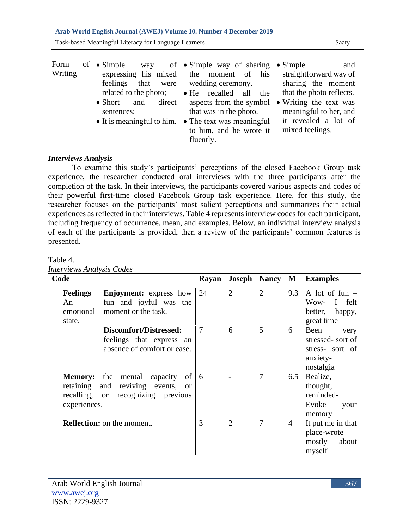#### **Arab World English Journal (AWEJ) Volume 10. Number 4 December 2019**

Task-based Meaningful Literacy for Language Learners Saaty

| of<br>Form<br>$\bullet$ Simple<br>Writing<br>expressing his mixed<br>related to the photo;<br>direct<br>and<br>$\bullet$ Short<br>sentences; | way of $\bullet$ Simple way of sharing $\bullet$ Simple<br>the moment of his<br>feelings that were wedding ceremony.<br>• He recalled<br>all<br>the<br>aspects from the symbol<br>that was in the photo.<br>• It is meaningful to him. • The text was meaningful<br>to him, and he wrote it<br>fluently. | and<br>straightforward way of<br>sharing the moment<br>that the photo reflects.<br>• Writing the text was<br>meaningful to her, and<br>it revealed a lot of<br>mixed feelings. |
|----------------------------------------------------------------------------------------------------------------------------------------------|----------------------------------------------------------------------------------------------------------------------------------------------------------------------------------------------------------------------------------------------------------------------------------------------------------|--------------------------------------------------------------------------------------------------------------------------------------------------------------------------------|
|----------------------------------------------------------------------------------------------------------------------------------------------|----------------------------------------------------------------------------------------------------------------------------------------------------------------------------------------------------------------------------------------------------------------------------------------------------------|--------------------------------------------------------------------------------------------------------------------------------------------------------------------------------|

## *Interviews Analysis*

To examine this study's participants' perceptions of the closed Facebook Group task experience, the researcher conducted oral interviews with the three participants after the completion of the task. In their interviews, the participants covered various aspects and codes of their powerful first-time closed Facebook Group task experience. Here, for this study, the researcher focuses on the participants' most salient perceptions and summarizes their actual experiences as reflected in their interviews. Table 4 represents interview codes for each participant, including frequency of occurrence, mean, and examples. Below, an individual interview analysis of each of the participants is provided, then a review of the participants' common features is presented.

| Code                                                      |                                                                                                                         | Rayan          | <b>Joseph Nancy M</b> |                |     | <b>Examples</b>                                                              |
|-----------------------------------------------------------|-------------------------------------------------------------------------------------------------------------------------|----------------|-----------------------|----------------|-----|------------------------------------------------------------------------------|
| <b>Feelings</b><br>An<br>emotional<br>state.              | <b>Enjoyment:</b> express how<br>fun and joyful was the<br>moment or the task.                                          | 24             | $\overline{2}$        | $\overline{2}$ | 9.3 | A lot of fun $-$<br>I felt<br>Wow-<br>better,<br>happy,<br>great time        |
|                                                           | Discomfort/Distressed:<br>feelings that express an<br>absence of comfort or ease.                                       | $\overline{7}$ | 6                     | 5              | 6   | Been<br>very<br>stressed-sort of<br>stress- sort of<br>anxiety-<br>nostalgia |
| <b>Memory:</b><br>retaining<br>recalling,<br>experiences. | the<br>mental<br>capacity<br>of<br>reviving<br>and<br>events,<br><sub>or</sub><br>recognizing previous<br><sub>or</sub> | 6              |                       | $\tau$         | 6.5 | Realize,<br>thought,<br>reminded-<br>Evoke<br>your<br>memory                 |
|                                                           | <b>Reflection:</b> on the moment.                                                                                       | 3              | 2                     | 7              | 4   | It put me in that<br>place-wrote<br>mostly<br>about<br>myself                |

Table 4. *Interviews Analysis Codes*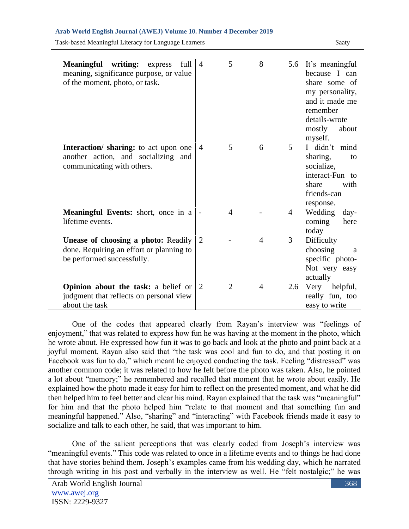| writing: express<br>full<br><b>Meaningful</b><br>meaning, significance purpose, or value<br>of the moment, photo, or task. | $\overline{4}$ | 5              | 8              |     | 5.6 It's meaningful<br>because I can<br>share some of<br>my personality,<br>and it made me<br>remember<br>details-wrote<br>mostly<br>about<br>myself. |
|----------------------------------------------------------------------------------------------------------------------------|----------------|----------------|----------------|-----|-------------------------------------------------------------------------------------------------------------------------------------------------------|
| Interaction/ sharing: to act upon one<br>another action, and socializing and<br>communicating with others.                 | $\overline{4}$ | 5              | 6              | 5   | I didn't mind<br>sharing,<br>to<br>socialize,<br>interact-Fun to<br>share<br>with<br>friends-can                                                      |
| <b>Meaningful Events:</b> short, once in a<br>lifetime events.                                                             |                | $\overline{4}$ |                | 4   | response.<br>Wedding<br>day-<br>coming<br>here<br>today                                                                                               |
| <b>Unease of choosing a photo: Readily</b><br>done. Requiring an effort or planning to<br>be performed successfully.       | 2              |                | $\overline{4}$ | 3   | Difficulty<br>choosing<br>a<br>specific photo-<br>Not very easy<br>actually                                                                           |
| Opinion about the task: a belief or<br>judgment that reflects on personal view<br>about the task                           | $\overline{2}$ | $\overline{2}$ | $\overline{4}$ | 2.6 | Very helpful,<br>really fun, too<br>easy to write                                                                                                     |

Task-based Meaningful Literacy for Language Learners Saaty

One of the codes that appeared clearly from Rayan's interview was "feelings of enjoyment," that was related to express how fun he was having at the moment in the photo, which he wrote about. He expressed how fun it was to go back and look at the photo and point back at a joyful moment. Rayan also said that "the task was cool and fun to do, and that posting it on Facebook was fun to do," which meant he enjoyed conducting the task. Feeling "distressed" was another common code; it was related to how he felt before the photo was taken. Also, he pointed a lot about "memory;" he remembered and recalled that moment that he wrote about easily. He explained how the photo made it easy for him to reflect on the presented moment, and what he did then helped him to feel better and clear his mind. Rayan explained that the task was "meaningful" for him and that the photo helped him "relate to that moment and that something fun and meaningful happened." Also, "sharing" and "interacting" with Facebook friends made it easy to socialize and talk to each other, he said, that was important to him.

One of the salient perceptions that was clearly coded from Joseph's interview was "meaningful events." This code was related to once in a lifetime events and to things he had done that have stories behind them. Joseph's examples came from his wedding day, which he narrated through writing in his post and verbally in the interview as well. He "felt nostalgic;" he was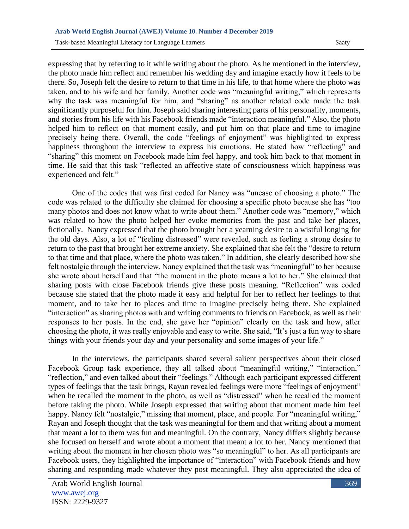expressing that by referring to it while writing about the photo. As he mentioned in the interview, the photo made him reflect and remember his wedding day and imagine exactly how it feels to be there. So, Joseph felt the desire to return to that time in his life, to that home where the photo was taken, and to his wife and her family. Another code was "meaningful writing," which represents why the task was meaningful for him, and "sharing" as another related code made the task significantly purposeful for him. Joseph said sharing interesting parts of his personality, moments, and stories from his life with his Facebook friends made "interaction meaningful." Also, the photo helped him to reflect on that moment easily, and put him on that place and time to imagine precisely being there. Overall, the code "feelings of enjoyment" was highlighted to express happiness throughout the interview to express his emotions. He stated how "reflecting" and "sharing" this moment on Facebook made him feel happy, and took him back to that moment in time. He said that this task "reflected an affective state of consciousness which happiness was experienced and felt."

One of the codes that was first coded for Nancy was "unease of choosing a photo." The code was related to the difficulty she claimed for choosing a specific photo because she has "too many photos and does not know what to write about them." Another code was "memory," which was related to how the photo helped her evoke memories from the past and take her places, fictionally. Nancy expressed that the photo brought her a yearning desire to a wistful longing for the old days. Also, a lot of "feeling distressed" were revealed, such as feeling a strong desire to return to the past that brought her extreme anxiety. She explained that she felt the "desire to return to that time and that place, where the photo was taken." In addition, she clearly described how she felt nostalgic through the interview. Nancy explained that the task was "meaningful" to her because she wrote about herself and that "the moment in the photo means a lot to her." She claimed that sharing posts with close Facebook friends give these posts meaning. "Reflection" was coded because she stated that the photo made it easy and helpful for her to reflect her feelings to that moment, and to take her to places and time to imagine precisely being there. She explained "interaction" as sharing photos with and writing comments to friends on Facebook, as well as their responses to her posts. In the end, she gave her "opinion" clearly on the task and how, after choosing the photo, it was really enjoyable and easy to write. She said, "It's just a fun way to share things with your friends your day and your personality and some images of your life."

In the interviews, the participants shared several salient perspectives about their closed Facebook Group task experience, they all talked about "meaningful writing," "interaction," "reflection," and even talked about their "feelings." Although each participant expressed different types of feelings that the task brings, Rayan revealed feelings were more "feelings of enjoyment" when he recalled the moment in the photo, as well as "distressed" when he recalled the moment before taking the photo. While Joseph expressed that writing about that moment made him feel happy. Nancy felt "nostalgic," missing that moment, place, and people. For "meaningful writing," Rayan and Joseph thought that the task was meaningful for them and that writing about a moment that meant a lot to them was fun and meaningful. On the contrary, Nancy differs slightly because she focused on herself and wrote about a moment that meant a lot to her. Nancy mentioned that writing about the moment in her chosen photo was "so meaningful" to her. As all participants are Facebook users, they highlighted the importance of "interaction" with Facebook friends and how sharing and responding made whatever they post meaningful. They also appreciated the idea of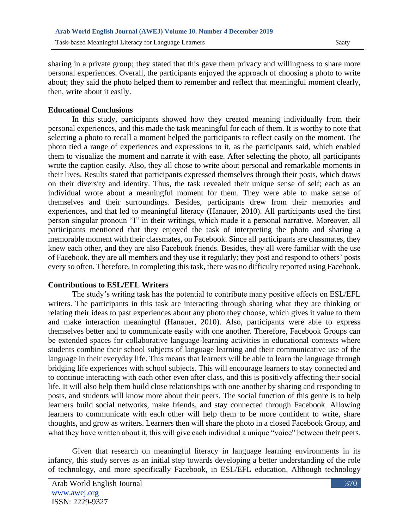sharing in a private group; they stated that this gave them privacy and willingness to share more personal experiences. Overall, the participants enjoyed the approach of choosing a photo to write about; they said the photo helped them to remember and reflect that meaningful moment clearly, then, write about it easily.

#### **Educational Conclusions**

In this study, participants showed how they created meaning individually from their personal experiences, and this made the task meaningful for each of them. It is worthy to note that selecting a photo to recall a moment helped the participants to reflect easily on the moment. The photo tied a range of experiences and expressions to it, as the participants said, which enabled them to visualize the moment and narrate it with ease. After selecting the photo, all participants wrote the caption easily. Also, they all chose to write about personal and remarkable moments in their lives. Results stated that participants expressed themselves through their posts, which draws on their diversity and identity. Thus, the task revealed their unique sense of self; each as an individual wrote about a meaningful moment for them. They were able to make sense of themselves and their surroundings. Besides, participants drew from their memories and experiences, and that led to meaningful literacy (Hanauer, 2010). All participants used the first person singular pronoun "I" in their writings, which made it a personal narrative. Moreover, all participants mentioned that they enjoyed the task of interpreting the photo and sharing a memorable moment with their classmates, on Facebook. Since all participants are classmates, they knew each other, and they are also Facebook friends. Besides, they all were familiar with the use of Facebook, they are all members and they use it regularly; they post and respond to others' posts every so often. Therefore, in completing this task, there was no difficulty reported using Facebook.

#### **Contributions to ESL/EFL Writers**

The study's writing task has the potential to contribute many positive effects on ESL/EFL writers. The participants in this task are interacting through sharing what they are thinking or relating their ideas to past experiences about any photo they choose, which gives it value to them and make interaction meaningful (Hanauer, 2010). Also, participants were able to express themselves better and to communicate easily with one another. Therefore, Facebook Groups can be extended spaces for collaborative language-learning activities in educational contexts where students combine their school subjects of language learning and their communicative use of the language in their everyday life. This means that learners will be able to learn the language through bridging life experiences with school subjects. This will encourage learners to stay connected and to continue interacting with each other even after class, and this is positively affecting their social life. It will also help them build close relationships with one another by sharing and responding to posts, and students will know more about their peers. The social function of this genre is to help learners build social networks, make friends, and stay connected through Facebook. Allowing learners to communicate with each other will help them to be more confident to write, share thoughts, and grow as writers. Learners then will share the photo in a closed Facebook Group, and what they have written about it, this will give each individual a unique "voice" between their peers.

Given that research on meaningful literacy in language learning environments in its infancy, this study serves as an initial step towards developing a better understanding of the role of technology, and more specifically Facebook, in ESL/EFL education. Although technology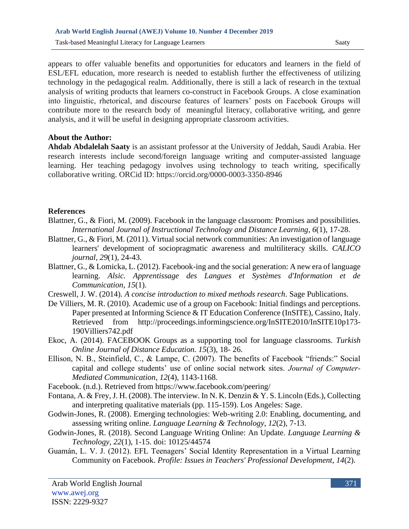appears to offer valuable benefits and opportunities for educators and learners in the field of ESL/EFL education, more research is needed to establish further the effectiveness of utilizing technology in the pedagogical realm. Additionally, there is still a lack of research in the textual analysis of writing products that learners co-construct in Facebook Groups. A close examination into linguistic, rhetorical, and discourse features of learners' posts on Facebook Groups will contribute more to the research body of meaningful literacy, collaborative writing, and genre analysis, and it will be useful in designing appropriate classroom activities.

#### **About the Author:**

**Ahdab Abdalelah Saaty** is an assistant professor at the University of Jeddah, Saudi Arabia. Her research interests include second/foreign language writing and computer-assisted language learning. Her teaching pedagogy involves using technology to teach writing, specifically collaborative writing. ORCid ID:<https://orcid.org/0000-0003-3350-8946>

## **References**

- Blattner, G., & Fiori, M. (2009). Facebook in the language classroom: Promises and possibilities. *International Journal of Instructional Technology and Distance Learning*, *6*(1), 17-28.
- Blattner, G., & Fiori, M. (2011). Virtual social network communities: An investigation of language learners' development of sociopragmatic awareness and multiliteracy skills. *CALICO journal*, *29*(1), 24-43.
- Blattner, G., & Lomicka, L. (2012). Facebook-ing and the social generation: A new era of language learning. *Alsic. Apprentissage des Langues et Systèmes d'Information et de Communication*, *15*(1).
- Creswell, J. W. (2014). *A concise introduction to mixed methods research*. Sage Publications.
- De Villiers, M. R. (2010). Academic use of a group on Facebook: Initial findings and perceptions. Paper presented at Informing Science & IT Education Conference (InSITE), Cassino, Italy. Retrieved from http://proceedings.informingscience.org/InSITE2010/InSITE10p173- 190Villiers742.pdf
- Ekoc, A. (2014). FACEBOOK Groups as a supporting tool for language classrooms. *Turkish Online Journal of Distance Education. 15*(3), 18- 26.
- Ellison, N. B., Steinfield, C., & Lampe, C. (2007). The benefits of Facebook "friends:" Social capital and college students' use of online social network sites. *Journal of Computer‐ Mediated Communication*, *12*(4), 1143-1168.
- Facebook. (n.d.). Retrieved from https://www.facebook.com/peering/
- Fontana, A. & Frey, J. H. (2008). The interview. In N. K. Denzin & Y. S. Lincoln (Eds.), Collecting and interpreting qualitative materials (pp. 115-159). Los Angeles: Sage.
- Godwin-Jones, R. (2008). Emerging technologies: Web-writing 2.0: Enabling, documenting, and assessing writing online. *Language Learning & Technology*, *12*(2), 7-13.
- Godwin-Jones, R. (2018). Second Language Writing Online: An Update. *Language Learning & Technology*, *22*(1), 1-15. doi: 10125/44574
- Guamán, L. V. J. (2012). EFL Teenagers' Social Identity Representation in a Virtual Learning Community on Facebook. *Profile: Issues in Teachers' Professional Development*, *14*(2).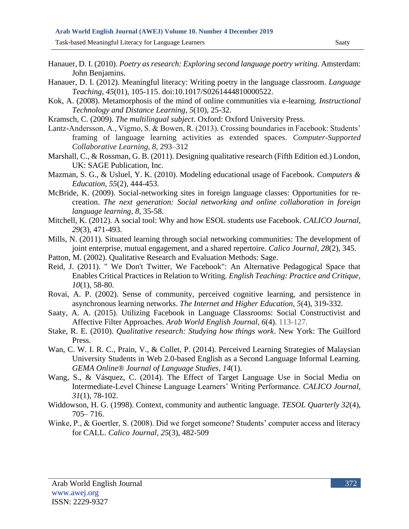Task-based Meaningful Literacy for Language Learners Saaty

- Hanauer, D. I. (2010). *Poetry as research: Exploring second language poetry writing.* Amsterdam: John Benjamins.
- Hanauer, D. I. (2012). Meaningful literacy: Writing poetry in the language classroom. *Language Teaching*, *45*(01), 105-115. doi:10.1017/S0261444810000522.
- Kok, A. (2008). Metamorphosis of the mind of online communities via e-learning. *Instructional Technology and Distance Learning*, *5*(10), 25-32.
- Kramsch, C. (2009). *The multilingual subject*. Oxford: Oxford University Press.
- Lantz-Andersson, A., Vigmo, S. & Bowen, R. (2013). Crossing boundaries in Facebook: Students' framing of language learning activities as extended spaces. *Computer-Supported Collaborative Learning, 8,* 293–312
- Marshall, C., & Rossman, G. B. (2011). Designing qualitative research (Fifth Edition ed.) London, UK: SAGE Publication, Inc.
- Mazman, S. G., & Usluel, Y. K. (2010). Modeling educational usage of Facebook. *Computers & Education*, *55*(2), 444-453.
- McBride, K. (2009). Social-networking sites in foreign language classes: Opportunities for recreation. *The next generation: Social networking and online collaboration in foreign language learning*, *8*, 35-58.
- Mitchell, K. (2012). A social tool: Why and how ESOL students use Facebook. *CALICO Journal*, *29*(3), 471-493.
- Mills, N. (2011). Situated learning through social networking communities: The development of joint enterprise, mutual engagement, and a shared repertoire. *Calico Journal*, *28*(2), 345.
- Patton, M. (2002). Qualitative Research and Evaluation Methods: Sage.
- Reid, J. (2011). " We Don't Twitter, We Facebook": An Alternative Pedagogical Space that Enables Critical Practices in Relation to Writing. *English Teaching: Practice and Critique*, *10*(1), 58-80.
- Rovai, A. P. (2002). Sense of community, perceived cognitive learning, and persistence in asynchronous learning networks. *The Internet and Higher Education*, *5*(4), 319-332.
- Saaty, A. A. (2015). Utilizing Facebook in Language Classrooms: Social Constructivist and Affective Filter Approaches. *Arab World English Journal*, *6*(4). 113-127.
- Stake, R. E. (2010). *Qualitative research: Studying how things work*. New York: The Guilford Press.
- Wan, C. W. I. R. C., Prain, V., & Collet, P. (2014). Perceived Learning Strategies of Malaysian University Students in Web 2.0-based English as a Second Language Informal Learning. *GEMA Online® Journal of Language Studies*, *14*(1).
- Wang, S., & Vásquez, C. (2014). The Effect of Target Language Use in Social Media on Intermediate-Level Chinese Language Learners' Writing Performance. *CALICO Journal*, *31*(1), 78-102.
- Widdowson, H. G. (1998). Context, community and authentic language. *TESOL Quarterly 32*(4), 705– 716.
- Winke, P., & Goertler, S. (2008). Did we forget someone? Students' computer access and literacy for CALL. *Calico Journal*, *25*(3), 482-509